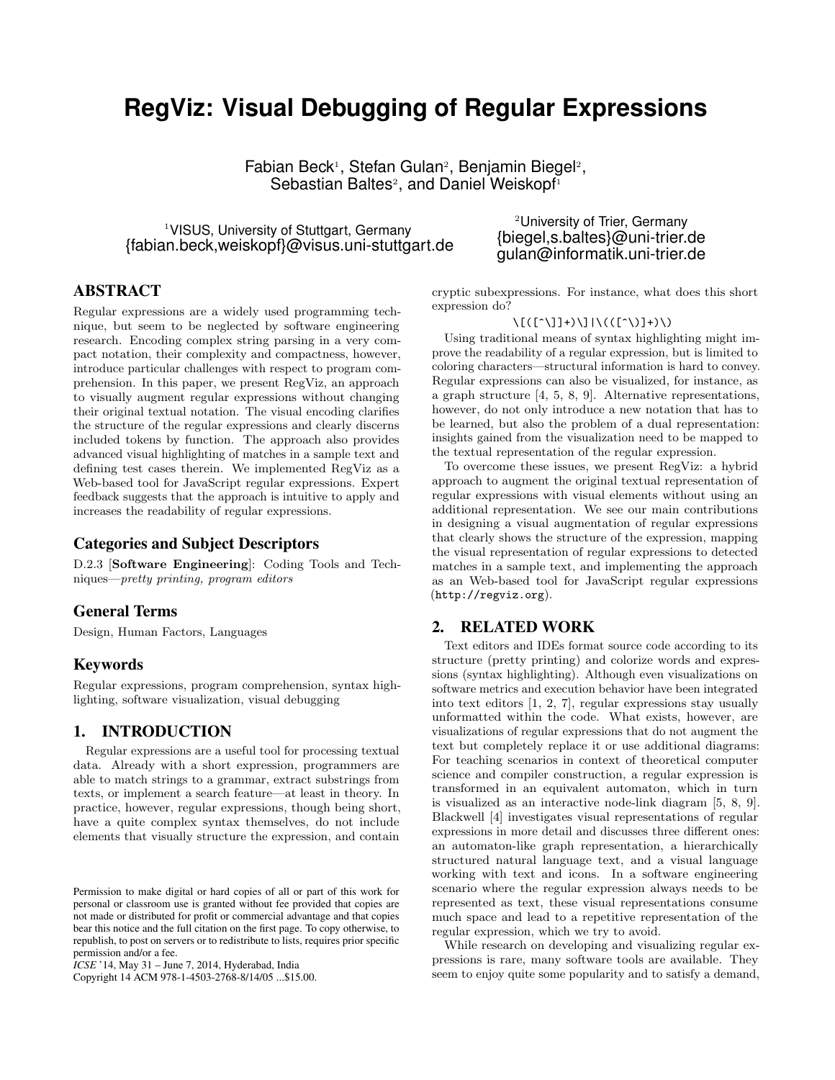# **RegViz: Visual Debugging of Regular Expressions**

Fabian Beck<sup>1</sup>, Stefan Gulan<sup>2</sup>, Benjamin Biegel<sup>2</sup>, Sebastian Baltes<sup>2</sup>, and Daniel Weiskopf<sup>1</sup>

<sup>1</sup>VISUS, University of Stuttgart, Germany {fabian.beck,weiskopf}@visus.uni-stuttgart.de

<sup>2</sup>University of Trier, Germany {biegel,s.baltes}@uni-trier.de gulan@informatik.uni-trier.de

# ABSTRACT

Regular expressions are a widely used programming technique, but seem to be neglected by software engineering research. Encoding complex string parsing in a very compact notation, their complexity and compactness, however, introduce particular challenges with respect to program comprehension. In this paper, we present RegViz, an approach to visually augment regular expressions without changing their original textual notation. The visual encoding clarifies the structure of the regular expressions and clearly discerns included tokens by function. The approach also provides advanced visual highlighting of matches in a sample text and defining test cases therein. We implemented RegViz as a Web-based tool for JavaScript regular expressions. Expert feedback suggests that the approach is intuitive to apply and increases the readability of regular expressions.

## Categories and Subject Descriptors

D.2.3 [Software Engineering]: Coding Tools and Techniques—pretty printing, program editors

## General Terms

Design, Human Factors, Languages

# Keywords

Regular expressions, program comprehension, syntax highlighting, software visualization, visual debugging

# 1. INTRODUCTION

Regular expressions are a useful tool for processing textual data. Already with a short expression, programmers are able to match strings to a grammar, extract substrings from texts, or implement a search feature—at least in theory. In practice, however, regular expressions, though being short, have a quite complex syntax themselves, do not include elements that visually structure the expression, and contain

Copyright 14 ACM 978-1-4503-2768-8/14/05 ...\$15.00.

cryptic subexpressions. For instance, what does this short expression do?

#### \[([^\]]+)\]|\(([^\)]+)\)

Using traditional means of syntax highlighting might improve the readability of a regular expression, but is limited to coloring characters—structural information is hard to convey. Regular expressions can also be visualized, for instance, as a graph structure [4, 5, 8, 9]. Alternative representations, however, do not only introduce a new notation that has to be learned, but also the problem of a dual representation: insights gained from the visualization need to be mapped to the textual representation of the regular expression.

To overcome these issues, we present RegViz: a hybrid approach to augment the original textual representation of regular expressions with visual elements without using an additional representation. We see our main contributions in designing a visual augmentation of regular expressions that clearly shows the structure of the expression, mapping the visual representation of regular expressions to detected matches in a sample text, and implementing the approach as an Web-based tool for JavaScript regular expressions (http://regviz.org).

### 2. RELATED WORK

Text editors and IDEs format source code according to its structure (pretty printing) and colorize words and expressions (syntax highlighting). Although even visualizations on software metrics and execution behavior have been integrated into text editors [1, 2, 7], regular expressions stay usually unformatted within the code. What exists, however, are visualizations of regular expressions that do not augment the text but completely replace it or use additional diagrams: For teaching scenarios in context of theoretical computer science and compiler construction, a regular expression is transformed in an equivalent automaton, which in turn is visualized as an interactive node-link diagram [5, 8, 9]. Blackwell [4] investigates visual representations of regular expressions in more detail and discusses three different ones: an automaton-like graph representation, a hierarchically structured natural language text, and a visual language working with text and icons. In a software engineering scenario where the regular expression always needs to be represented as text, these visual representations consume much space and lead to a repetitive representation of the regular expression, which we try to avoid.

While research on developing and visualizing regular expressions is rare, many software tools are available. They seem to enjoy quite some popularity and to satisfy a demand,

Permission to make digital or hard copies of all or part of this work for personal or classroom use is granted without fee provided that copies are not made or distributed for profit or commercial advantage and that copies bear this notice and the full citation on the first page. To copy otherwise, to republish, to post on servers or to redistribute to lists, requires prior specific permission and/or a fee.

*ICSE* '14, May 31 – June 7, 2014, Hyderabad, India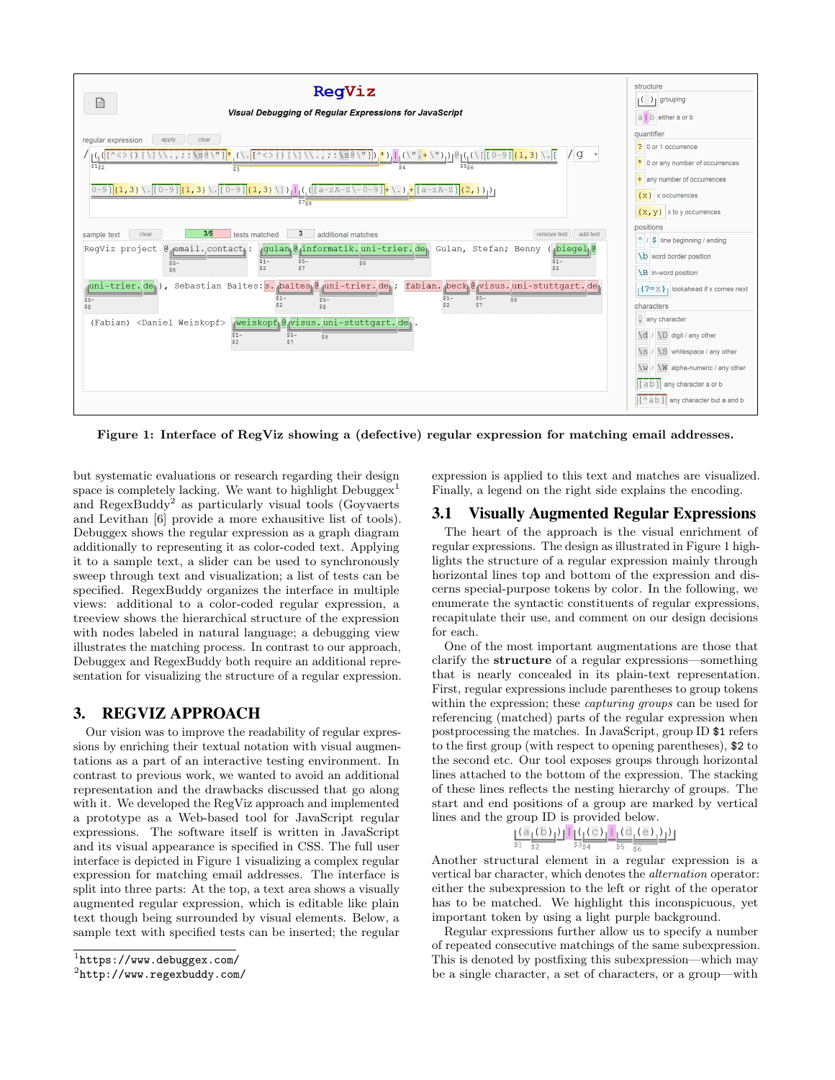

Figure 1: Interface of RegViz showing a (defective) regular expression for matching email addresses.

but systematic evaluations or research regarding their design space is completely lacking. We want to highlight  $Debuggex<sup>1</sup>$ and RegexBuddy<sup>2</sup> as particularly visual tools (Goyvaerts and Levithan [6] provide a more exhausitive list of tools). Debuggex shows the regular expression as a graph diagram additionally to representing it as color-coded text. Applying it to a sample text, a slider can be used to synchronously sweep through text and visualization; a list of tests can be specified. RegexBuddy organizes the interface in multiple views: additional to a color-coded regular expression, a treeview shows the hierarchical structure of the expression with nodes labeled in natural language; a debugging view illustrates the matching process. In contrast to our approach, Debuggex and RegexBuddy both require an additional representation for visualizing the structure of a regular expression.

# 3. REGVIZ APPROACH

Our vision was to improve the readability of regular expressions by enriching their textual notation with visual augmentations as a part of an interactive testing environment. In contrast to previous work, we wanted to avoid an additional representation and the drawbacks discussed that go along with it. We developed the RegViz approach and implemented a prototype as a Web-based tool for JavaScript regular expressions. The software itself is written in JavaScript and its visual appearance is specified in CSS. The full user interface is depicted in Figure 1 visualizing a complex regular expression for matching email addresses. The interface is split into three parts: At the top, a text area shows a visually augmented regular expression, which is editable like plain text though being surrounded by visual elements. Below, a sample text with specified tests can be inserted; the regular

expression is applied to this text and matches are visualized. Finally, a legend on the right side explains the encoding.

# 3.1 Visually Augmented Regular Expressions

The heart of the approach is the visual enrichment of regular expressions. The design as illustrated in Figure 1 highlights the structure of a regular expression mainly through horizontal lines top and bottom of the expression and discerns special-purpose tokens by color. In the following, we enumerate the syntactic constituents of regular expressions, recapitulate their use, and comment on our design decisions for each.

One of the most important augmentations are those that clarify the structure of a regular expressions—something that is nearly concealed in its plain-text representation. First, regular expressions include parentheses to group tokens within the expression; these *capturing groups* can be used for referencing (matched) parts of the regular expression when postprocessing the matches. In JavaScript, group ID \$1 refers to the first group (with respect to opening parentheses), \$2 to the second etc. Our tool exposes groups through horizontal lines attached to the bottom of the expression. The stacking of these lines reflects the nesting hierarchy of groups. The start and end positions of a group are marked by vertical lines and the group ID is provided below.

$$
\frac{\left(\frac{a}{\sin\left(\frac{b}{\sin\left(\frac{c}{\sin\left(\frac{c}{\sin\left(\frac{c}{\sin\left(\frac{c}{\sin\left(\frac{c}{\sin\left(\frac{c}{\sin\left(\frac{c}{\sin\left(\frac{c}{\sin\left(\frac{c}{\sin\left(\frac{c}{\sin\left(\frac{c}{\sin\left(\frac{c}{\sin\left(\frac{c}{\sin\left(\frac{c}{\sin\left(\frac{c}{\sin\left(\frac{c}{\sin\left(\frac{c}{\sin\left(\frac{c}{\sin\left(\frac{c}{\sin\left(\frac{c}{\sin\left(\frac{c}{\sin\left(\frac{c}{\sin\left(\frac{c}{\sin\left(\frac{c}{\sin\left(\frac{c}{\sin\left(\frac{c}{\sin\left(\frac{c}{\sin\left(\frac{c}{\sin\left(\frac{c}{\sin\left(\frac{c}{\sin\left(\frac{c}{\sin\left(\frac{c}{\sin\left(\frac{c}{\sin\left(\frac{c}{\sin\left(\frac{c}{\sin\left(\frac{c}{\sin\left(\frac{c}{\sin\left(\frac{c}{\sin\left(\frac{c}{\sin\left(\frac{c}{\sin\left(\frac{c}{\sin\left(\frac{c}{\sin\left(\frac{c}{\sin\left(\frac{c}{\sin\left(\frac{c}{\sin\left(\frac{c}{\sin\left(\frac{c}{\sin\left(\frac{c}{\sin\left(\frac{c}{\sin\left(\frac{c}{\sin\left(\frac{c}{\sin\left(\frac{c}{\sin\left(\frac{c}{\sin\left(\frac{c}{\sin\left(\frac{c}{\sin\left(\frac{c}{\sin\left(\frac{c}{\sin\left(\frac{c}{\sin\left(\frac{c}{\sin\left(\frac{c}{\sin\left(\frac{c}{\sin\left(\frac{c}{\sin\left(\frac{c}{\sin\left(\frac{c}{\sin\left(\frac{c}{\sin\left(\frac{c}{\sin\left(\frac{c}{\sin\left(\frac{c}{\sin\left(\frac{c}{\sin\left(\frac{c}{\sin\left(\frac{c}{\sin\left(\frac{c}{\sin\left(\frac{c}{\sin\left(\frac{c}{\sin\left(\frac{c}{\sin\left(\frac{c}{\sin\left(\frac{c}{\sin\left(\frac{c}{\sin\left(\frac{c}{\sin\left(\frac{c}{\sin\left(\frac{c}{\sin\left(\frac{c}{\sin\left
$$

Another structural element in a regular expression is a vertical bar character, which denotes the alternation operator: either the subexpression to the left or right of the operator has to be matched. We highlight this inconspicuous, yet important token by using a light purple background.

Regular expressions further allow us to specify a number of repeated consecutive matchings of the same subexpression. This is denoted by postfixing this subexpression—which may be a single character, a set of characters, or a group—with

<sup>1</sup> https://www.debuggex.com/

 $^{2}$ http://www.regexbuddy.com/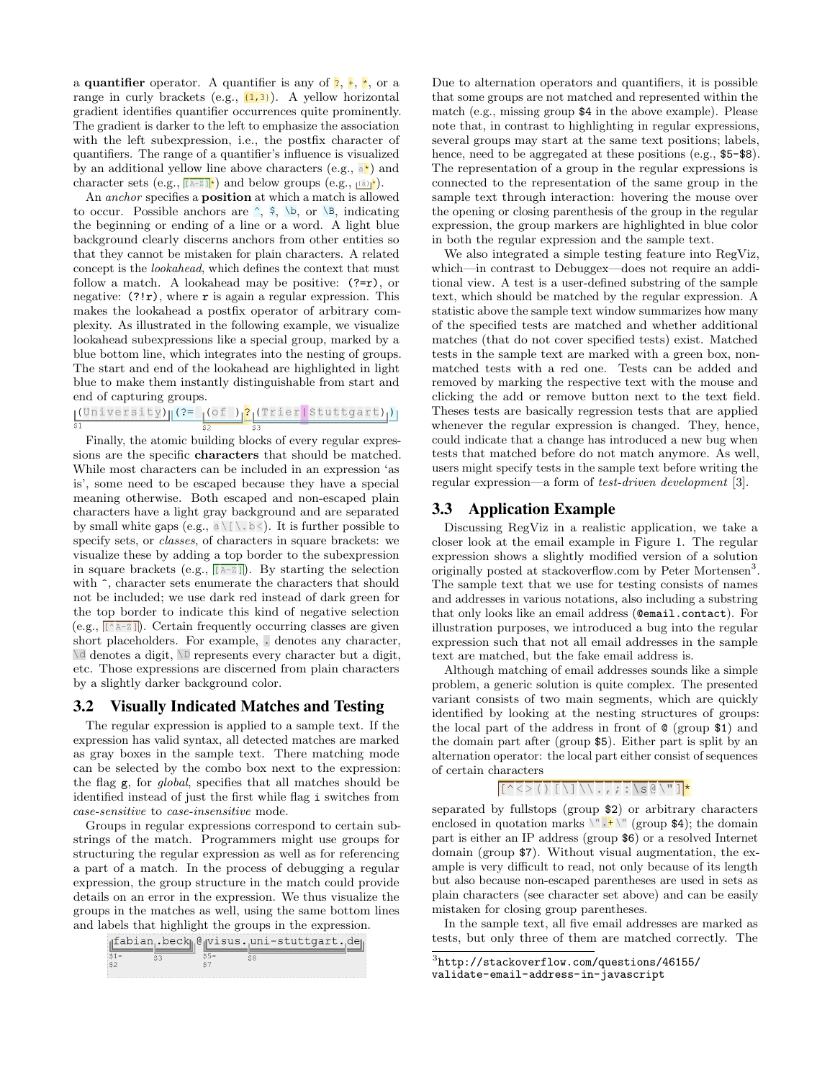a quantifier operator. A quantifier is any of  $\frac{1}{2}$ ,  $\frac{1}{2}$ ,  $\frac{1}{2}$ , or a range in curly brackets (e.g.,  $(1,3)$ ). A yellow horizontal gradient identifies quantifier occurrences quite prominently. The gradient is darker to the left to emphasize the association with the left subexpression, i.e., the postfix character of quantifiers. The range of a quantifier's influence is visualized by an additional yellow line above characters (e.g.,  $a^*$ ) and character sets (e.g.,  $\overline{[\mathbb{A}^{-z}]}^*$ ) and below groups (e.g.,  $\overline{[\mathbb{A}^{z}]}^*$ ).

An *anchor* specifies a **position** at which a match is allowed to occur. Possible anchors are  $\hat{\ }$ ,  $\hat{\ }$ ,  $\hat{\ }$ , or  $\hat{\ }$ , indicating the beginning or ending of a line or a word. A light blue background clearly discerns anchors from other entities so that they cannot be mistaken for plain characters. A related concept is the lookahead, which defines the context that must follow a match. A lookahead may be positive:  $(?=r)$ , or negative:  $(?)r$ , where r is again a regular expression. This makes the lookahead a postfix operator of arbitrary complexity. As illustrated in the following example, we visualize lookahead subexpressions like a special group, marked by a blue bottom line, which integrates into the nesting of groups. The start and end of the lookahead are highlighted in light blue to make them instantly distinguishable from start and end of capturing groups.

 $\frac{(\texttt{University})}{(c - 1)^2}$ 

Finally, the atomic building blocks of every regular expressions are the specific characters that should be matched. While most characters can be included in an expression 'as is', some need to be escaped because they have a special meaning otherwise. Both escaped and non-escaped plain characters have a light gray background and are separated by small white gaps (e.g.,  $a \setminus [\, \cdot \, b \leq \,)$ ). It is further possible to specify sets, or classes, of characters in square brackets: we visualize these by adding a top border to the subexpression in square brackets (e.g.,  $\sqrt{[\mathbb{A}-\mathbb{Z}]}$ ). By starting the selection with  $\hat{ }$ , character sets enumerate the characters that should not be included; we use dark red instead of dark green for the top border to indicate this kind of negative selection  $(e.g., \sqrt{[\Delta Z]})$ . Certain frequently occurring classes are given short placeholders. For example,  $\cdot$  denotes any character,  $\setminus$ d denotes a digit,  $\setminus$ D represents every character but a digit, etc. Those expressions are discerned from plain characters by a slightly darker background color.

## 3.2 Visually Indicated Matches and Testing

The regular expression is applied to a sample text. If the expression has valid syntax, all detected matches are marked as gray boxes in the sample text. There matching mode can be selected by the combo box next to the expression: the flag g, for global, specifies that all matches should be identified instead of just the first while flag i switches from case-sensitive to case-insensitive mode.

Groups in regular expressions correspond to certain substrings of the match. Programmers might use groups for structuring the regular expression as well as for referencing a part of a match. In the process of debugging a regular expression, the group structure in the match could provide details on an error in the expression. We thus visualize the groups in the matches as well, using the same bottom lines and labels that highlight the groups in the expression.

|  |  |  |  | ifabian beck @wisus uni-stuttgart de |  |  |
|--|--|--|--|--------------------------------------|--|--|

| $1 -$<br>$\cdot$ | ×. | ۰<br>$\sim$ $-$ |  |  |
|------------------|----|-----------------|--|--|
|                  |    |                 |  |  |

Due to alternation operators and quantifiers, it is possible that some groups are not matched and represented within the match (e.g., missing group \$4 in the above example). Please note that, in contrast to highlighting in regular expressions, several groups may start at the same text positions; labels, hence, need to be aggregated at these positions (e.g.,  $$5-$8$ ). The representation of a group in the regular expressions is connected to the representation of the same group in the sample text through interaction: hovering the mouse over the opening or closing parenthesis of the group in the regular expression, the group markers are highlighted in blue color in both the regular expression and the sample text.

We also integrated a simple testing feature into RegViz, which—in contrast to Debuggex—does not require an additional view. A test is a user-defined substring of the sample text, which should be matched by the regular expression. A statistic above the sample text window summarizes how many of the specified tests are matched and whether additional matches (that do not cover specified tests) exist. Matched tests in the sample text are marked with a green box, nonmatched tests with a red one. Tests can be added and removed by marking the respective text with the mouse and clicking the add or remove button next to the text field. Theses tests are basically regression tests that are applied whenever the regular expression is changed. They, hence, could indicate that a change has introduced a new bug when tests that matched before do not match anymore. As well, users might specify tests in the sample text before writing the regular expression—a form of test-driven development [3].

### 3.3 Application Example

Discussing RegViz in a realistic application, we take a closer look at the email example in Figure 1. The regular expression shows a slightly modified version of a solution originally posted at stackoverflow.com by Peter Mortensen<sup>3</sup>. The sample text that we use for testing consists of names and addresses in various notations, also including a substring that only looks like an email address (@email.contact). For illustration purposes, we introduced a bug into the regular expression such that not all email addresses in the sample text are matched, but the fake email address is.

Although matching of email addresses sounds like a simple problem, a generic solution is quite complex. The presented variant consists of two main segments, which are quickly identified by looking at the nesting structures of groups: the local part of the address in front of @ (group \$1) and the domain part after (group \$5). Either part is split by an alternation operator: the local part either consist of sequences of certain characters

#### $[(^{\wedge}$   $\langle$   $\rangle$  ( )  $[\ \rangle]$   $\setminus$   $\setminus$  ,  $\mathfrak{z}$  :  $\setminus$  s  $(^{\wedge}$   $^{\vee}$   $]$   $\star$

separated by fullstops (group \$2) or arbitrary characters enclosed in quotation marks  $\mathbb{R}^n$ . (group \$4); the domain part is either an IP address (group \$6) or a resolved Internet domain (group \$7). Without visual augmentation, the example is very difficult to read, not only because of its length but also because non-escaped parentheses are used in sets as plain characters (see character set above) and can be easily mistaken for closing group parentheses.

In the sample text, all five email addresses are marked as tests, but only three of them are matched correctly. The

 $^3$ http://stackoverflow.com/questions/46155/ validate-email-address-in-javascript